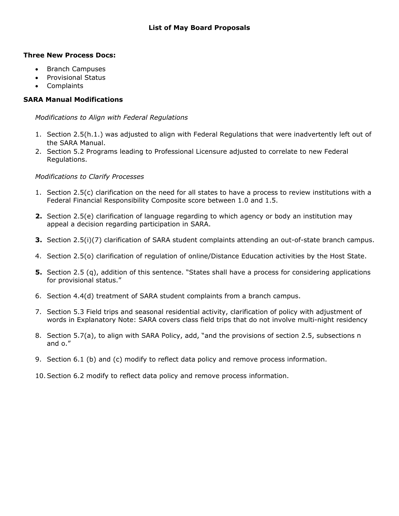# **Three New Process Docs:**

- Branch Campuses
- Provisional Status
- Complaints

## **SARA Manual Modifications**

*Modifications to Align with Federal Regulations* 

- 1. Section 2.5(h.1.) was adjusted to align with Federal Regulations that were inadvertently left out of the SARA Manual.
- 2. Section 5.2 Programs leading to Professional Licensure adjusted to correlate to new Federal Regulations.

#### *Modifications to Clarify Processes*

- 1. Section 2.5(c) clarification on the need for all states to have a process to review institutions with a Federal Financial Responsibility Composite score between 1.0 and 1.5.
- **2.** Section 2.5(e) clarification of language regarding to which agency or body an institution may appeal a decision regarding participation in SARA.
- **3.** Section 2.5(i)(7) clarification of SARA student complaints attending an out-of-state branch campus.
- 4. Section 2.5(o) clarification of regulation of online/Distance Education activities by the Host State.
- **5.** Section 2.5 (q), addition of this sentence. "States shall have a process for considering applications for provisional status."
- 6. Section 4.4(d) treatment of SARA student complaints from a branch campus.
- 7. Section 5.3 Field trips and seasonal residential activity, clarification of policy with adjustment of words in Explanatory Note: SARA covers class field trips that do not involve multi-night residency
- 8. Section 5.7(a), to align with SARA Policy, add, "and the provisions of section 2.5, subsections n and o."
- 9. Section 6.1 (b) and (c) modify to reflect data policy and remove process information.
- 10.Section 6.2 modify to reflect data policy and remove process information.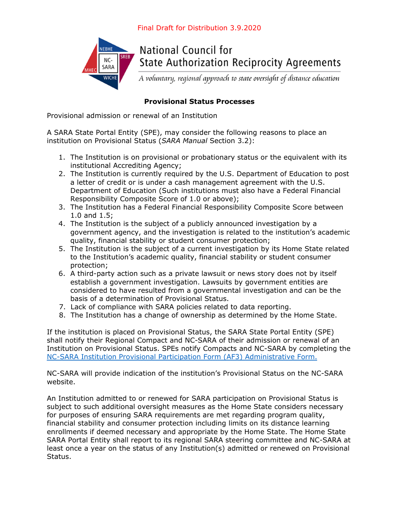

**National Council for State Authorization Reciprocity Agreements** 

A voluntary, regional approach to state oversight of distance education

# **Provisional Status Processes**

Provisional admission or renewal of an Institution

A SARA State Portal Entity (SPE), may consider the following reasons to place an institution on Provisional Status (*SARA Manual* Section 3.2):

- 1. The Institution is on provisional or probationary status or the equivalent with its institutional Accrediting Agency;
- 2. The Institution is currently required by the U.S. Department of Education to post a letter of credit or is under a cash management agreement with the U.S. Department of Education (Such institutions must also have a Federal Financial Responsibility Composite Score of 1.0 or above);
- 3. The Institution has a Federal Financial Responsibility Composite Score between 1.0 and 1.5;
- 4. The Institution is the subject of a publicly announced investigation by a government agency, and the investigation is related to the institution's academic quality, financial stability or student consumer protection;
- 5. The Institution is the subject of a current investigation by its Home State related to the Institution's academic quality, financial stability or student consumer protection;
- 6. A third-party action such as a private lawsuit or news story does not by itself establish a government investigation. Lawsuits by government entities are considered to have resulted from a governmental investigation and can be the basis of a determination of Provisional Status.
- 7. Lack of compliance with SARA policies related to data reporting.
- 8. The Institution has a change of ownership as determined by the Home State.

If the institution is placed on Provisional Status, the SARA State Portal Entity (SPE) shall notify their Regional Compact and NC-SARA of their admission or renewal of an Institution on Provisional Status. SPEs notify Compacts and NC-SARA by completing the NC-SARA Institution Provisional Participation Form (AF3) Administrative Form.

NC-SARA will provide indication of the institution's Provisional Status on the NC-SARA website.

An Institution admitted to or renewed for SARA participation on Provisional Status is subject to such additional oversight measures as the Home State considers necessary for purposes of ensuring SARA requirements are met regarding program quality, financial stability and consumer protection including limits on its distance learning enrollments if deemed necessary and appropriate by the Home State. The Home State SARA Portal Entity shall report to its regional SARA steering committee and NC-SARA at least once a year on the status of any Institution(s) admitted or renewed on Provisional Status.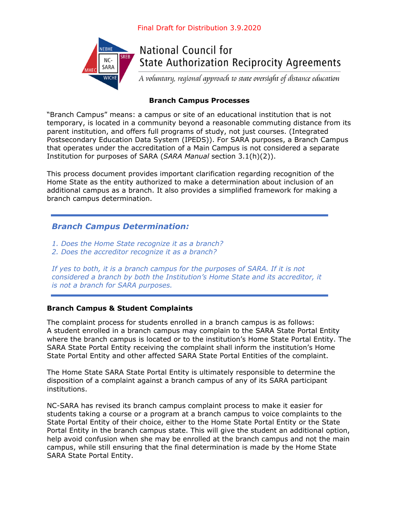

**National Council for State Authorization Reciprocity Agreements** 

A voluntary, regional approach to state oversight of distance education

# **Branch Campus Processes**

"Branch Campus" means: a campus or site of an educational institution that is not temporary, is located in a community beyond a reasonable commuting distance from its parent institution, and offers full programs of study, not just courses. (Integrated Postsecondary Education Data System (IPEDS)). For SARA purposes, a Branch Campus that operates under the accreditation of a Main Campus is not considered a separate Institution for purposes of SARA (*SARA Manual* section 3.1(h)(2)).

This process document provides important clarification regarding recognition of the Home State as the entity authorized to make a determination about inclusion of an additional campus as a branch. It also provides a simplified framework for making a branch campus determination.

# *Branch Campus Determination:*

*1. Does the Home State recognize it as a branch?* 

*2. Does the accreditor recognize it as a branch?* 

*If yes to both, it is a branch campus for the purposes of SARA. If it is not considered a branch by both the Institution's Home State and its accreditor, it is not a branch for SARA purposes.* 

# **Branch Campus & Student Complaints**

The complaint process for students enrolled in a branch campus is as follows: A student enrolled in a branch campus may complain to the SARA State Portal Entity where the branch campus is located or to the institution's Home State Portal Entity. The SARA State Portal Entity receiving the complaint shall inform the institution's Home State Portal Entity and other affected SARA State Portal Entities of the complaint.

The Home State SARA State Portal Entity is ultimately responsible to determine the disposition of a complaint against a branch campus of any of its SARA participant institutions.

NC-SARA has revised its branch campus complaint process to make it easier for students taking a course or a program at a branch campus to voice complaints to the State Portal Entity of their choice, either to the Home State Portal Entity or the State Portal Entity in the branch campus state. This will give the student an additional option, help avoid confusion when she may be enrolled at the branch campus and not the main campus, while still ensuring that the final determination is made by the Home State SARA State Portal Entity.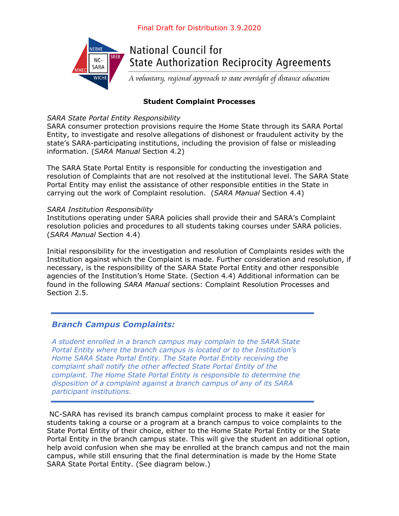

# **Student Complaint Processes**

## *SARA State Portal Entity Responsibility*

SARA consumer protection provisions require the Home State through its SARA Portal Entity, to investigate and resolve allegations of dishonest or fraudulent activity by the state's SARA-participating institutions, including the provision of false or misleading information. (*SARA Manual* Section 4.2)

The SARA State Portal Entity is responsible for conducting the investigation and resolution of Complaints that are not resolved at the institutional level. The SARA State Portal Entity may enlist the assistance of other responsible entities in the State in carrying out the work of Complaint resolution. (*SARA Manual* Section 4.4)

#### *SARA Institution Responsibility*

Institutions operating under SARA policies shall provide their and SARA's Complaint resolution policies and procedures to all students taking courses under SARA policies. (*SARA Manual* Section 4.4)

Initial responsibility for the investigation and resolution of Complaints resides with the Institution against which the Complaint is made. Further consideration and resolution, if necessary, is the responsibility of the SARA State Portal Entity and other responsible agencies of the Institution's Home State. (Section 4.4) Additional information can be found in the following *SARA Manual* sections: Complaint Resolution Processes and Section 2.5.

# *Branch Campus Complaints:*

*A student enrolled in a branch campus may complain to the SARA State Portal Entity where the branch campus is located or to the Institution's Home SARA State Portal Entity. The State Portal Entity receiving the complaint shall notify the other affected State Portal Entity of the complaint. The Home State Portal Entity is responsible to determine the disposition of a complaint against a branch campus of any of its SARA participant institutions.* 

 NC-SARA has revised its branch campus complaint process to make it easier for students taking a course or a program at a branch campus to voice complaints to the State Portal Entity of their choice, either to the Home State Portal Entity or the State Portal Entity in the branch campus state. This will give the student an additional option, help avoid confusion when she may be enrolled at the branch campus and not the main campus, while still ensuring that the final determination is made by the Home State SARA State Portal Entity. (See diagram below.)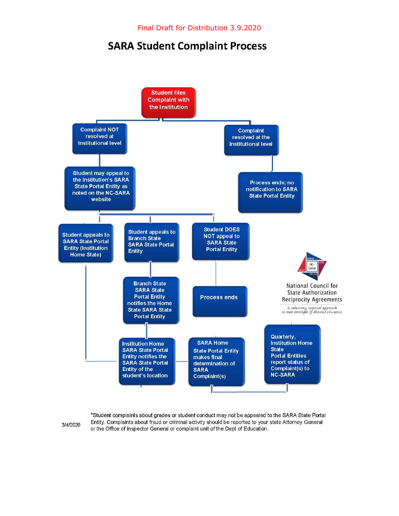# **SARA Student Complaint Process**



3/4/2020

\*Student complaints about grades or student conduct may not be appealed to the SARA State Portal Entity. Complaints about fraud or criminal activity should be reported to your state Attorney General or the Office of Inspector General or complaint unit of the Dept of Education.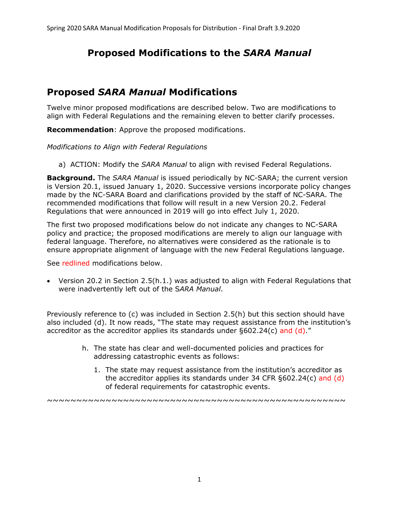# **Proposed Modifications to the** *SARA Manual*

# **Proposed** *SARA Manual* **Modifications**

Twelve minor proposed modifications are described below. Two are modifications to align with Federal Regulations and the remaining eleven to better clarify processes.

**Recommendation**: Approve the proposed modifications.

*Modifications to Align with Federal Regulations* 

a) ACTION: Modify the *SARA Manual* to align with revised Federal Regulations.

**Background.** The *SARA Manual* is issued periodically by NC-SARA; the current version is Version 20.1, issued January 1, 2020. Successive versions incorporate policy changes made by the NC-SARA Board and clarifications provided by the staff of NC-SARA. The recommended modifications that follow will result in a new Version 20.2. Federal Regulations that were announced in 2019 will go into effect July 1, 2020.

The first two proposed modifications below do not indicate any changes to NC-SARA policy and practice; the proposed modifications are merely to align our language with federal language. Therefore, no alternatives were considered as the rationale is to ensure appropriate alignment of language with the new Federal Regulations language.

See redlined modifications below.

 Version 20.2 in Section 2.5(h.1.) was adjusted to align with Federal Regulations that were inadvertently left out of the S*ARA Manual*.

Previously reference to (c) was included in Section 2.5(h) but this section should have also included (d). It now reads, "The state may request assistance from the institution's accreditor as the accreditor applies its standards under §602.24(c) and (d)."

- h. The state has clear and well-documented policies and practices for addressing catastrophic events as follows:
	- 1. The state may request assistance from the institution's accreditor as the accreditor applies its standards under 34 CFR §602.24(c) and (d) of federal requirements for catastrophic events.

~~~~~~~~~~~~~~~~~~~~~~~~~~~~~~~~~~~~~~~~~~~~~~~~~~~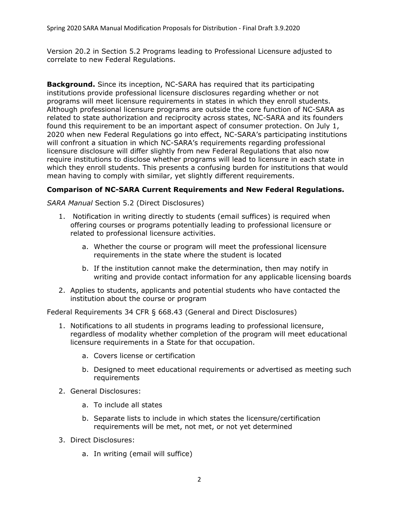Version 20.2 in Section 5.2 Programs leading to Professional Licensure adjusted to correlate to new Federal Regulations.

**Background.** Since its inception, NC-SARA has required that its participating institutions provide professional licensure disclosures regarding whether or not programs will meet licensure requirements in states in which they enroll students. Although professional licensure programs are outside the core function of NC-SARA as related to state authorization and reciprocity across states, NC-SARA and its founders found this requirement to be an important aspect of consumer protection. On July 1, 2020 when new Federal Regulations go into effect, NC-SARA's participating institutions will confront a situation in which NC-SARA's requirements regarding professional licensure disclosure will differ slightly from new Federal Regulations that also now require institutions to disclose whether programs will lead to licensure in each state in which they enroll students. This presents a confusing burden for institutions that would mean having to comply with similar, yet slightly different requirements.

# **Comparison of NC-SARA Current Requirements and New Federal Regulations.**

*SARA Manual* Section 5.2 (Direct Disclosures)

- 1. Notification in writing directly to students (email suffices) is required when offering courses or programs potentially leading to professional licensure or related to professional licensure activities.
	- a. Whether the course or program will meet the professional licensure requirements in the state where the student is located
	- b. If the institution cannot make the determination, then may notify in writing and provide contact information for any applicable licensing boards
- 2. Applies to students, applicants and potential students who have contacted the institution about the course or program

Federal Requirements 34 CFR § 668.43 (General and Direct Disclosures)

- 1. Notifications to all students in programs leading to professional licensure, regardless of modality whether completion of the program will meet educational licensure requirements in a State for that occupation.
	- a. Covers license or certification
	- b. Designed to meet educational requirements or advertised as meeting such requirements
- 2. General Disclosures:
	- a. To include all states
	- b. Separate lists to include in which states the licensure/certification requirements will be met, not met, or not yet determined
- 3. Direct Disclosures:
	- a. In writing (email will suffice)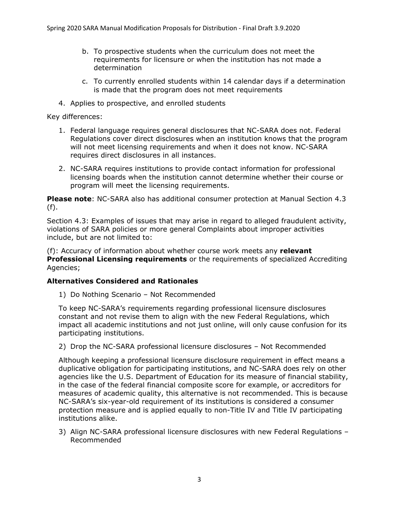- b. To prospective students when the curriculum does not meet the requirements for licensure or when the institution has not made a determination
- c. To currently enrolled students within 14 calendar days if a determination is made that the program does not meet requirements
- 4. Applies to prospective, and enrolled students

Key differences:

- 1. Federal language requires general disclosures that NC-SARA does not. Federal Regulations cover direct disclosures when an institution knows that the program will not meet licensing requirements and when it does not know. NC-SARA requires direct disclosures in all instances.
- 2. NC-SARA requires institutions to provide contact information for professional licensing boards when the institution cannot determine whether their course or program will meet the licensing requirements.

**Please note**: NC-SARA also has additional consumer protection at Manual Section 4.3 (f).

Section 4.3: Examples of issues that may arise in regard to alleged fraudulent activity, violations of SARA policies or more general Complaints about improper activities include, but are not limited to:

(f): Accuracy of information about whether course work meets any **relevant Professional Licensing requirements** or the requirements of specialized Accrediting Agencies;

#### **Alternatives Considered and Rationales**

1) Do Nothing Scenario – Not Recommended

To keep NC-SARA's requirements regarding professional licensure disclosures constant and not revise them to align with the new Federal Regulations, which impact all academic institutions and not just online, will only cause confusion for its participating institutions.

2) Drop the NC-SARA professional licensure disclosures – Not Recommended

Although keeping a professional licensure disclosure requirement in effect means a duplicative obligation for participating institutions, and NC-SARA does rely on other agencies like the U.S. Department of Education for its measure of financial stability, in the case of the federal financial composite score for example, or accreditors for measures of academic quality, this alternative is not recommended. This is because NC-SARA's six-year-old requirement of its institutions is considered a consumer protection measure and is applied equally to non-Title IV and Title IV participating institutions alike.

3) Align NC-SARA professional licensure disclosures with new Federal Regulations – Recommended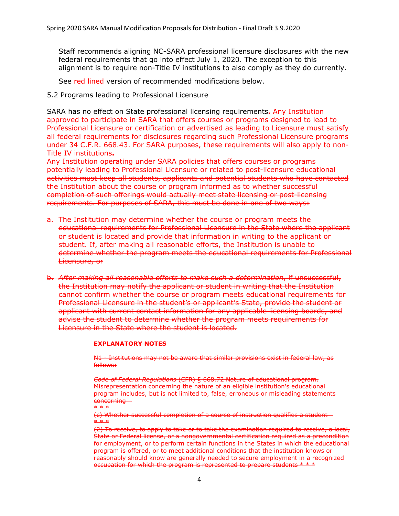Staff recommends aligning NC-SARA professional licensure disclosures with the new federal requirements that go into effect July 1, 2020. The exception to this alignment is to require non-Title IV institutions to also comply as they do currently.

See red lined version of recommended modifications below.

5.2 Programs leading to Professional Licensure

SARA has no effect on State professional licensing requirements**.** Any Institution approved to participate in SARA that offers courses or programs designed to lead to Professional Licensure or certification or advertised as leading to Licensure must satisfy all federal requirements for disclosures regarding such Professional Licensure programs under 34 C.F.R. 668.43. For SARA purposes, these requirements will also apply to non-Title IV institutions**.**

Any Institution operating under SARA policies that offers courses or programs potentially leading to Professional Licensure or related to post-licensure educational activities must keep all students, applicants and potential students who have contacted the Institution about the course or program informed as to whether successful completion of such offerings would actually meet state licensing or post-licensing requirements. For purposes of SARA, this must be done in one of two ways:

- a. The Institution may determine whether the course or program meets the educational requirements for Professional Licensure in the State where the applicant or student is located and provide that information in writing to the applicant or student. If, after making all reasonable efforts, the Institution is unable to determine whether the program meets the educational requirements for Professional Licensure, or
- b. *After making all reasonable efforts to make such a determination*, if unsuccessful, the Institution may notify the applicant or student in writing that the Institution cannot confirm whether the course or program meets educational requirements for Professional Licensure in the student's or applicant's State, provide the student or applicant with current contact information for any applicable licensing boards, and advise the student to determine whether the program meets requirements for Licensure in the State where the student is located.

#### **EXPLANATORY NOTES**

N1 - Institutions may not be aware that similar provisions exist in federal law, as follows:

*Code of Federal Regulations* (CFR) § 668.72 Nature of educational program. Misrepresentation concerning the nature of an eligible institution's educational program includes, but is not limited to, false, erroneous or misleading statements concerning— \* \* \*

(c) Whether successful completion of a course of instruction qualifies a student— \* \* \*

(2) To receive, to apply to take or to take the examination required to receive, a local, State or Federal license, or a nongovernmental certification required as a precondition for employment, or to perform certain functions in the States in which the educational program is offered, or to meet additional conditions that the institution knows or reasonably should know are generally needed to secure employment in a recognized occupation for which the program is represented to prepare students \* \* \*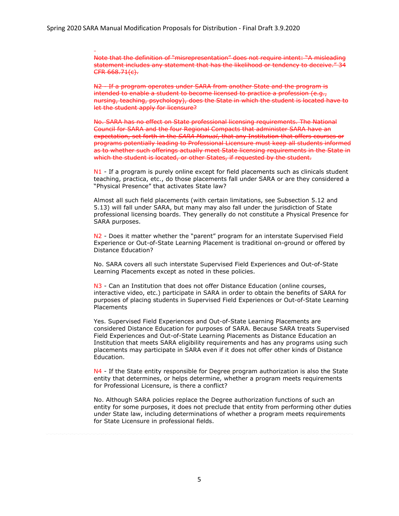1

Note that the definition of "misrepresentation" does not require intent: "A misleading statement includes any statement that has the likelihood or tendency to deceive." 34 CFR 668.71(c).

N2 - If a program operates under SARA from another State and the program is intended to enable a student to become licensed to practice a profession (e.g., nursing, teaching, psychology), does the State in which the student is located have to let the student apply for licensure?

No. SARA has no effect on State professional licensing requirements. The National Council for SARA and the four Regional Compacts that administer SARA have an expectation, set forth in the *SARA Manual*, that any Institution that offers courses or programs potentially leading to Professional Licensure must keep all students informed as to whether such offerings actually meet State licensing requirements in the State in which the student is located, or other States, if requested by the student.

N1 - If a program is purely online except for field placements such as clinicals student teaching, practica, etc., do those placements fall under SARA or are they considered a "Physical Presence" that activates State law?

Almost all such field placements (with certain limitations, see Subsection 5.12 and 5.13) will fall under SARA, but many may also fall under the jurisdiction of State professional licensing boards. They generally do not constitute a Physical Presence for SARA purposes.

N2 - Does it matter whether the "parent" program for an interstate Supervised Field Experience or Out-of-State Learning Placement is traditional on-ground or offered by Distance Education?

No. SARA covers all such interstate Supervised Field Experiences and Out-of-State Learning Placements except as noted in these policies.

N<sub>3</sub> - Can an Institution that does not offer Distance Education (online courses, interactive video, etc.) participate in SARA in order to obtain the benefits of SARA for purposes of placing students in Supervised Field Experiences or Out-of-State Learning **Placements** 

Yes. Supervised Field Experiences and Out-of-State Learning Placements are considered Distance Education for purposes of SARA. Because SARA treats Supervised Field Experiences and Out-of-State Learning Placements as Distance Education an Institution that meets SARA eligibility requirements and has any programs using such placements may participate in SARA even if it does not offer other kinds of Distance Education.

 $N4$  - If the State entity responsible for Degree program authorization is also the State entity that determines, or helps determine, whether a program meets requirements for Professional Licensure, is there a conflict?

No. Although SARA policies replace the Degree authorization functions of such an entity for some purposes, it does not preclude that entity from performing other duties under State law, including determinations of whether a program meets requirements for State Licensure in professional fields.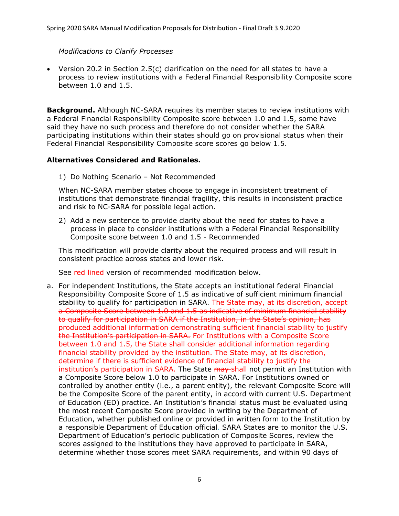#### *Modifications to Clarify Processes*

 Version 20.2 in Section 2.5(c) clarification on the need for all states to have a process to review institutions with a Federal Financial Responsibility Composite score between 1.0 and 1.5.

**Background.** Although NC-SARA requires its member states to review institutions with a Federal Financial Responsibility Composite score between 1.0 and 1.5, some have said they have no such process and therefore do not consider whether the SARA participating institutions within their states should go on provisional status when their Federal Financial Responsibility Composite score scores go below 1.5.

## **Alternatives Considered and Rationales.**

1) Do Nothing Scenario – Not Recommended

When NC-SARA member states choose to engage in inconsistent treatment of institutions that demonstrate financial fragility, this results in inconsistent practice and risk to NC-SARA for possible legal action.

2) Add a new sentence to provide clarity about the need for states to have a process in place to consider institutions with a Federal Financial Responsibility Composite score between 1.0 and 1.5 - Recommended

This modification will provide clarity about the required process and will result in consistent practice across states and lower risk.

See red lined version of recommended modification below.

a. For independent Institutions, the State accepts an institutional federal Financial Responsibility Composite Score of 1.5 as indicative of sufficient minimum financial stability to qualify for participation in SARA. The State may, at its discretion, accept a Composite Score between 1.0 and 1.5 as indicative of minimum financial stability to qualify for participation in SARA if the Institution, in the State's opinion, has produced additional information demonstrating sufficient financial stability to justify the Institution's participation in SARA. For Institutions with a Composite Score between 1.0 and 1.5, the State shall consider additional information regarding financial stability provided by the institution. The State may, at its discretion, determine if there is sufficient evidence of financial stability to justify the institution's participation in SARA. The State may shall not permit an Institution with a Composite Score below 1.0 to participate in SARA. For Institutions owned or controlled by another entity (i.e., a parent entity), the relevant Composite Score will be the Composite Score of the parent entity, in accord with current U.S. Department of Education (ED) practice. An Institution's financial status must be evaluated using the most recent Composite Score provided in writing by the Department of Education, whether published online or provided in written form to the Institution by a responsible Department of Education official. SARA States are to monitor the U.S. Department of Education's periodic publication of Composite Scores, review the scores assigned to the institutions they have approved to participate in SARA, determine whether those scores meet SARA requirements, and within 90 days of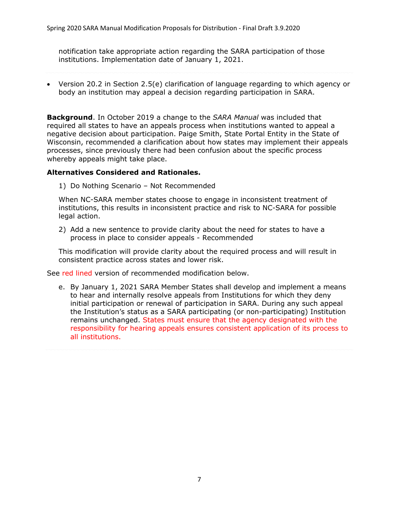notification take appropriate action regarding the SARA participation of those institutions. Implementation date of January 1, 2021.

 Version 20.2 in Section 2.5(e) clarification of language regarding to which agency or body an institution may appeal a decision regarding participation in SARA.

**Background**. In October 2019 a change to the *SARA Manual* was included that required all states to have an appeals process when institutions wanted to appeal a negative decision about participation. Paige Smith, State Portal Entity in the State of Wisconsin, recommended a clarification about how states may implement their appeals processes, since previously there had been confusion about the specific process whereby appeals might take place.

#### **Alternatives Considered and Rationales.**

1) Do Nothing Scenario – Not Recommended

When NC-SARA member states choose to engage in inconsistent treatment of institutions, this results in inconsistent practice and risk to NC-SARA for possible legal action.

2) Add a new sentence to provide clarity about the need for states to have a process in place to consider appeals - Recommended

This modification will provide clarity about the required process and will result in consistent practice across states and lower risk.

See red lined version of recommended modification below.

e. By January 1, 2021 SARA Member States shall develop and implement a means to hear and internally resolve appeals from Institutions for which they deny initial participation or renewal of participation in SARA. During any such appeal the Institution's status as a SARA participating (or non-participating) Institution remains unchanged. States must ensure that the agency designated with the responsibility for hearing appeals ensures consistent application of its process to all institutions.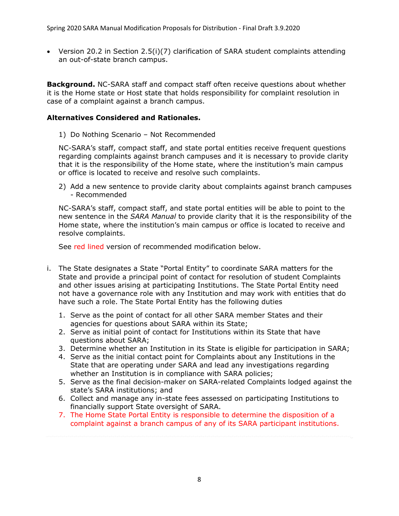Version 20.2 in Section 2.5(i)(7) clarification of SARA student complaints attending an out-of-state branch campus.

**Background.** NC-SARA staff and compact staff often receive questions about whether it is the Home state or Host state that holds responsibility for complaint resolution in case of a complaint against a branch campus.

## **Alternatives Considered and Rationales.**

1) Do Nothing Scenario – Not Recommended

NC-SARA's staff, compact staff, and state portal entities receive frequent questions regarding complaints against branch campuses and it is necessary to provide clarity that it is the responsibility of the Home state, where the institution's main campus or office is located to receive and resolve such complaints.

2) Add a new sentence to provide clarity about complaints against branch campuses - Recommended

NC-SARA's staff, compact staff, and state portal entities will be able to point to the new sentence in the *SARA Manual* to provide clarity that it is the responsibility of the Home state, where the institution's main campus or office is located to receive and resolve complaints.

See red lined version of recommended modification below.

- i. The State designates a State "Portal Entity" to coordinate SARA matters for the State and provide a principal point of contact for resolution of student Complaints and other issues arising at participating Institutions. The State Portal Entity need not have a governance role with any Institution and may work with entities that do have such a role. The State Portal Entity has the following duties
	- 1. Serve as the point of contact for all other SARA member States and their agencies for questions about SARA within its State;
	- 2. Serve as initial point of contact for Institutions within its State that have questions about SARA;
	- 3. Determine whether an Institution in its State is eligible for participation in SARA;
	- 4. Serve as the initial contact point for Complaints about any Institutions in the State that are operating under SARA and lead any investigations regarding whether an Institution is in compliance with SARA policies;
	- 5. Serve as the final decision-maker on SARA-related Complaints lodged against the state's SARA institutions; and
	- 6. Collect and manage any in-state fees assessed on participating Institutions to financially support State oversight of SARA.
	- 7. The Home State Portal Entity is responsible to determine the disposition of a complaint against a branch campus of any of its SARA participant institutions.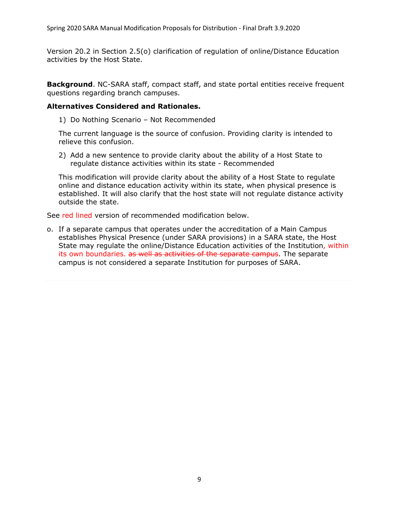Version 20.2 in Section 2.5(o) clarification of regulation of online/Distance Education activities by the Host State.

**Background**. NC-SARA staff, compact staff, and state portal entities receive frequent questions regarding branch campuses.

#### **Alternatives Considered and Rationales.**

1) Do Nothing Scenario – Not Recommended

The current language is the source of confusion. Providing clarity is intended to relieve this confusion.

2) Add a new sentence to provide clarity about the ability of a Host State to regulate distance activities within its state - Recommended

This modification will provide clarity about the ability of a Host State to regulate online and distance education activity within its state, when physical presence is established. It will also clarify that the host state will not regulate distance activity outside the state.

See red lined version of recommended modification below.

o. If a separate campus that operates under the accreditation of a Main Campus establishes Physical Presence (under SARA provisions) in a SARA state, the Host State may regulate the online/Distance Education activities of the Institution, within its own boundaries. as well as activities of the separate campus. The separate campus is not considered a separate Institution for purposes of SARA.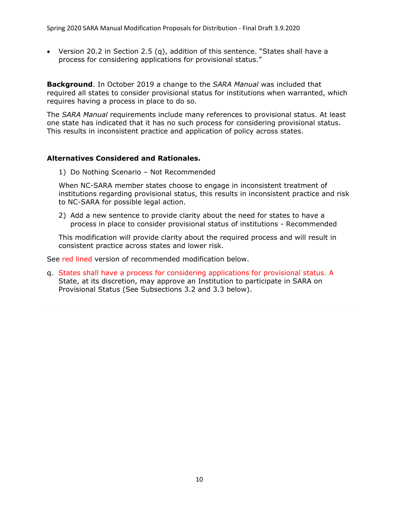Version 20.2 in Section 2.5 (q), addition of this sentence. "States shall have a process for considering applications for provisional status."

**Background**. In October 2019 a change to the *SARA Manual* was included that required all states to consider provisional status for institutions when warranted, which requires having a process in place to do so.

The *SARA Manual* requirements include many references to provisional status. At least one state has indicated that it has no such process for considering provisional status. This results in inconsistent practice and application of policy across states.

## **Alternatives Considered and Rationales.**

1) Do Nothing Scenario – Not Recommended

When NC-SARA member states choose to engage in inconsistent treatment of institutions regarding provisional status, this results in inconsistent practice and risk to NC-SARA for possible legal action.

2) Add a new sentence to provide clarity about the need for states to have a process in place to consider provisional status of institutions - Recommended

This modification will provide clarity about the required process and will result in consistent practice across states and lower risk.

See red lined version of recommended modification below.

q. States shall have a process for considering applications for provisional status. A State, at its discretion, may approve an Institution to participate in SARA on Provisional Status (See Subsections 3.2 and 3.3 below).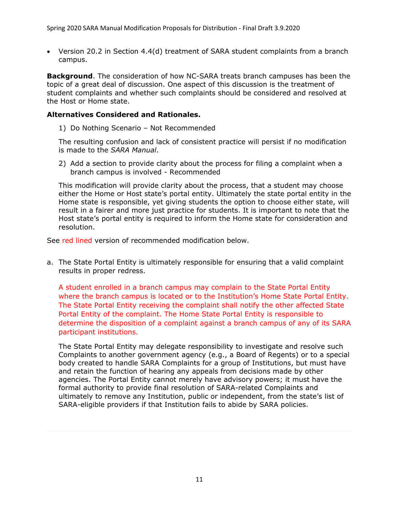Version 20.2 in Section 4.4(d) treatment of SARA student complaints from a branch campus.

**Background**. The consideration of how NC-SARA treats branch campuses has been the topic of a great deal of discussion. One aspect of this discussion is the treatment of student complaints and whether such complaints should be considered and resolved at the Host or Home state.

## **Alternatives Considered and Rationales.**

1) Do Nothing Scenario – Not Recommended

The resulting confusion and lack of consistent practice will persist if no modification is made to the *SARA Manual*.

2) Add a section to provide clarity about the process for filing a complaint when a branch campus is involved - Recommended

This modification will provide clarity about the process, that a student may choose either the Home or Host state's portal entity. Ultimately the state portal entity in the Home state is responsible, yet giving students the option to choose either state, will result in a fairer and more just practice for students. It is important to note that the Host state's portal entity is required to inform the Home state for consideration and resolution.

See red lined version of recommended modification below.

a. The State Portal Entity is ultimately responsible for ensuring that a valid complaint results in proper redress.

A student enrolled in a branch campus may complain to the State Portal Entity where the branch campus is located or to the Institution's Home State Portal Entity. The State Portal Entity receiving the complaint shall notify the other affected State Portal Entity of the complaint. The Home State Portal Entity is responsible to determine the disposition of a complaint against a branch campus of any of its SARA participant institutions.

The State Portal Entity may delegate responsibility to investigate and resolve such Complaints to another government agency (e.g., a Board of Regents) or to a special body created to handle SARA Complaints for a group of Institutions, but must have and retain the function of hearing any appeals from decisions made by other agencies. The Portal Entity cannot merely have advisory powers; it must have the formal authority to provide final resolution of SARA-related Complaints and ultimately to remove any Institution, public or independent, from the state's list of SARA-eligible providers if that Institution fails to abide by SARA policies.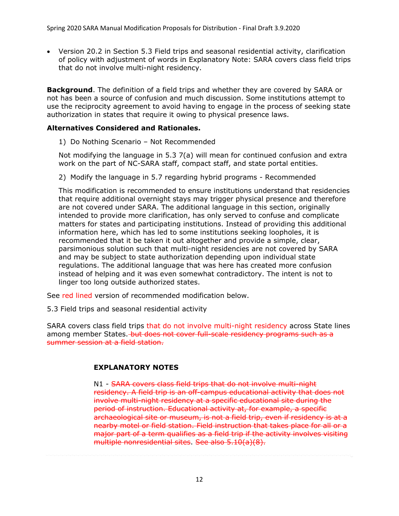Version 20.2 in Section 5.3 Field trips and seasonal residential activity, clarification of policy with adjustment of words in Explanatory Note: SARA covers class field trips that do not involve multi-night residency.

**Background**. The definition of a field trips and whether they are covered by SARA or not has been a source of confusion and much discussion. Some institutions attempt to use the reciprocity agreement to avoid having to engage in the process of seeking state authorization in states that require it owing to physical presence laws.

# **Alternatives Considered and Rationales.**

1) Do Nothing Scenario – Not Recommended

Not modifying the language in 5.3 7(a) will mean for continued confusion and extra work on the part of NC-SARA staff, compact staff, and state portal entities.

2) Modify the language in 5.7 regarding hybrid programs - Recommended

This modification is recommended to ensure institutions understand that residencies that require additional overnight stays may trigger physical presence and therefore are not covered under SARA. The additional language in this section, originally intended to provide more clarification, has only served to confuse and complicate matters for states and participating institutions. Instead of providing this additional information here, which has led to some institutions seeking loopholes, it is recommended that it be taken it out altogether and provide a simple, clear, parsimonious solution such that multi-night residencies are not covered by SARA and may be subject to state authorization depending upon individual state regulations. The additional language that was here has created more confusion instead of helping and it was even somewhat contradictory. The intent is not to linger too long outside authorized states.

See red lined version of recommended modification below.

5.3 Field trips and seasonal residential activity

SARA covers class field trips that do not involve multi-night residency across State lines among member States. but does not cover full-scale residency programs such as a summer session at a field station.

# **EXPLANATORY NOTES**

N1 - SARA covers class field trips that do not involve multi-night residency. A field trip is an off-campus educational activity that does not involve multi-night residency at a specific educational site during the period of instruction. Educational activity at, for example, a specific archaeological site or museum, is not a field trip, even if residency is at a nearby motel or field station. Field instruction that takes place for all or a major part of a term qualifies as a field trip if the activity involves visiting multiple nonresidential sites. See also 5.10(a)(8).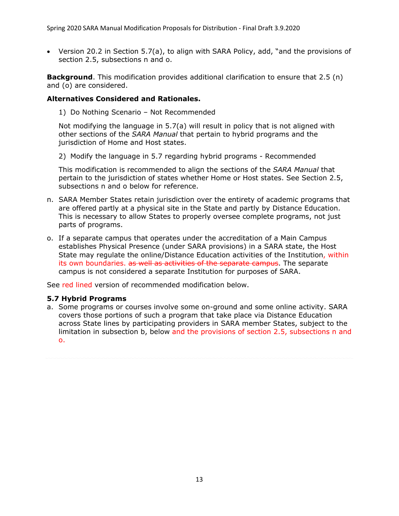Version 20.2 in Section 5.7(a), to align with SARA Policy, add, "and the provisions of section 2.5, subsections n and o.

**Background**. This modification provides additional clarification to ensure that 2.5 (n) and (o) are considered.

# **Alternatives Considered and Rationales.**

1) Do Nothing Scenario – Not Recommended

Not modifying the language in 5.7(a) will result in policy that is not aligned with other sections of the *SARA Manual* that pertain to hybrid programs and the jurisdiction of Home and Host states.

2) Modify the language in 5.7 regarding hybrid programs - Recommended

This modification is recommended to align the sections of the *SARA Manual* that pertain to the jurisdiction of states whether Home or Host states. See Section 2.5, subsections n and o below for reference.

- n. SARA Member States retain jurisdiction over the entirety of academic programs that are offered partly at a physical site in the State and partly by Distance Education. This is necessary to allow States to properly oversee complete programs, not just parts of programs.
- o. If a separate campus that operates under the accreditation of a Main Campus establishes Physical Presence (under SARA provisions) in a SARA state, the Host State may regulate the online/Distance Education activities of the Institution, within its own boundaries. as well as activities of the separate campus. The separate campus is not considered a separate Institution for purposes of SARA.

See red lined version of recommended modification below.

# **5.7 Hybrid Programs**

a. Some programs or courses involve some on-ground and some online activity. SARA covers those portions of such a program that take place via Distance Education across State lines by participating providers in SARA member States, subject to the limitation in subsection b, below and the provisions of section 2.5, subsections n and o.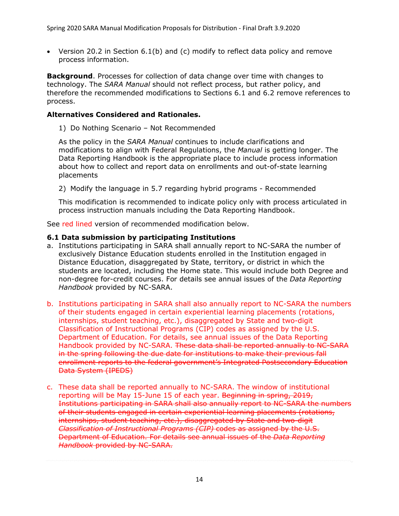Version 20.2 in Section 6.1(b) and (c) modify to reflect data policy and remove process information.

**Background**. Processes for collection of data change over time with changes to technology. The *SARA Manual* should not reflect process, but rather policy, and therefore the recommended modifications to Sections 6.1 and 6.2 remove references to process.

# **Alternatives Considered and Rationales.**

1) Do Nothing Scenario – Not Recommended

As the policy in the *SARA Manual* continues to include clarifications and modifications to align with Federal Regulations, the *Manual* is getting longer. The Data Reporting Handbook is the appropriate place to include process information about how to collect and report data on enrollments and out-of-state learning placements

2) Modify the language in 5.7 regarding hybrid programs - Recommended

This modification is recommended to indicate policy only with process articulated in process instruction manuals including the Data Reporting Handbook.

See red lined version of recommended modification below.

## **6.1 Data submission by participating Institutions**

- a. Institutions participating in SARA shall annually report to NC-SARA the number of exclusively Distance Education students enrolled in the Institution engaged in Distance Education, disaggregated by State, territory, or district in which the students are located, including the Home state. This would include both Degree and non-degree for-credit courses. For details see annual issues of the *Data Reporting Handbook* provided by NC-SARA.
- b. Institutions participating in SARA shall also annually report to NC-SARA the numbers of their students engaged in certain experiential learning placements (rotations, internships, student teaching, etc.), disaggregated by State and two-digit Classification of Instructional Programs (CIP) codes as assigned by the U.S. Department of Education. For details, see annual issues of the Data Reporting Handbook provided by NC-SARA. These data shall be reported annually to NC-SARA in the spring following the due date for institutions to make their previous fall enrollment reports to the federal government's Integrated Postsecondary Education Data System (IPEDS)
- c. These data shall be reported annually to NC-SARA. The window of institutional reporting will be May 15-June 15 of each year. Beginning in spring, 2019, Institutions participating in SARA shall also annually report to NC-SARA the numbers of their students engaged in certain experiential learning placements (rotations, internships, student teaching, etc.), disaggregated by State and two-digit *Classification of Instructional Programs (CIP)* codes as assigned by the U.S. Department of Education. For details see annual issues of the *Data Reporting Handbook* provided by NC-SARA.